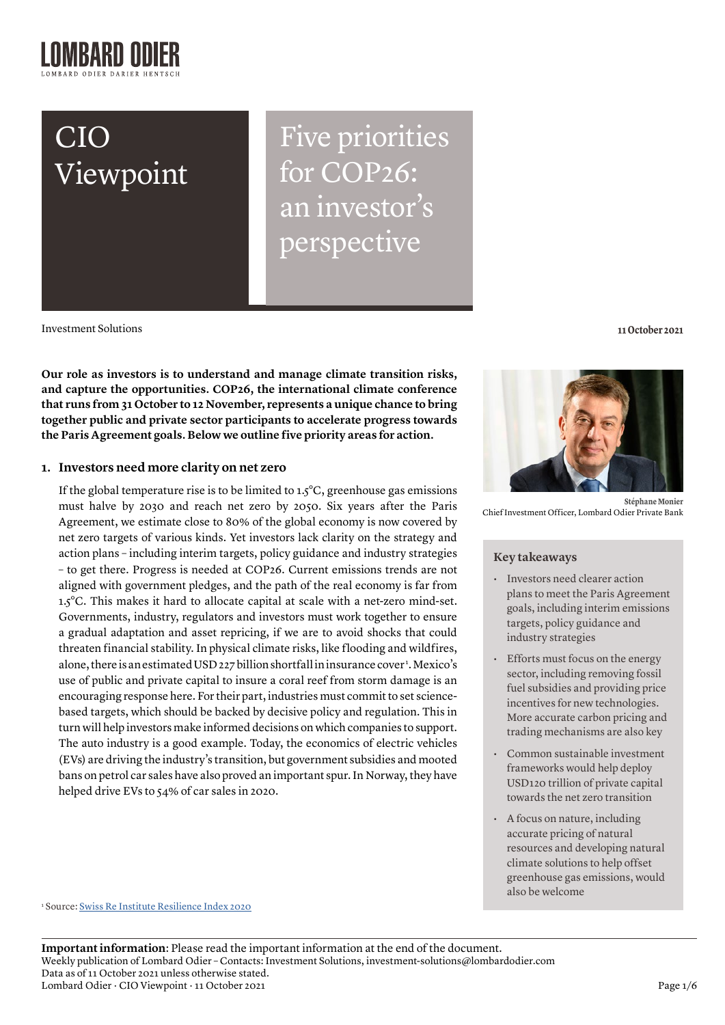# CIO Viewpoint

Five priorities for COP26: an investor's perspective

Investment Solutions **11 October 2021**

**Our role as investors is to understand and manage climate transition risks, and capture the opportunities. COP26, the international climate conference that runs from 31 October to 12 November, represents a unique chance to bring together public and private sector participants to accelerate progress towards the Paris Agreement goals. Below we outline five priority areas for action.**

## **1. Investors need more clarity on net zero**

If the global temperature rise is to be limited to  $1.5^{\circ}$ C, greenhouse gas emissions must halve by 2030 and reach net zero by 2050. Six years after the Paris Agreement, we estimate close to 80% of the global economy is now covered by net zero targets of various kinds. Yet investors lack clarity on the strategy and action plans – including interim targets, policy guidance and industry strategies – to get there. Progress is needed at COP26. Current emissions trends are not aligned with government pledges, and the path of the real economy is far from 1.5°C. This makes it hard to allocate capital at scale with a net-zero mind-set. Governments, industry, regulators and investors must work together to ensure a gradual adaptation and asset repricing, if we are to avoid shocks that could threaten financial stability. In physical climate risks, like flooding and wildfires, alone, there is an estimated USD 227 billion shortfall in insurance cover 1 . Mexico's use of public and private capital to insure a coral reef from storm damage is an encouraging response here. For their part, industries must commit to set sciencebased targets, which should be backed by decisive policy and regulation. This in turn will help investors make informed decisions on which companies to support. The auto industry is a good example. Today, the economics of electric vehicles (EVs) are driving the industry's transition, but government subsidies and mooted bans on petrol car sales have also proved an important spur. In Norway, they have helped drive EVs to 54% of car sales in 2020.



**Stéphane Monier**  Chief Investment Officer, Lombard Odier Private Bank

## **Key takeaways**

- Investors need clearer action plans to meet the Paris Agreement goals, including interim emissions targets, policy guidance and industry strategies
- Efforts must focus on the energy sector, including removing fossil fuel subsidies and providing price incentives for new technologies. More accurate carbon pricing and trading mechanisms are also key
- Common sustainable investment frameworks would help deploy USD120 trillion of private capital towards the net zero transition
- A focus on nature, including accurate pricing of natural resources and developing natural climate solutions to help offset greenhouse gas emissions, would also be welcome

<sup>1</sup> Source: <u>Swiss Re Institute Resilience Index 2020</u>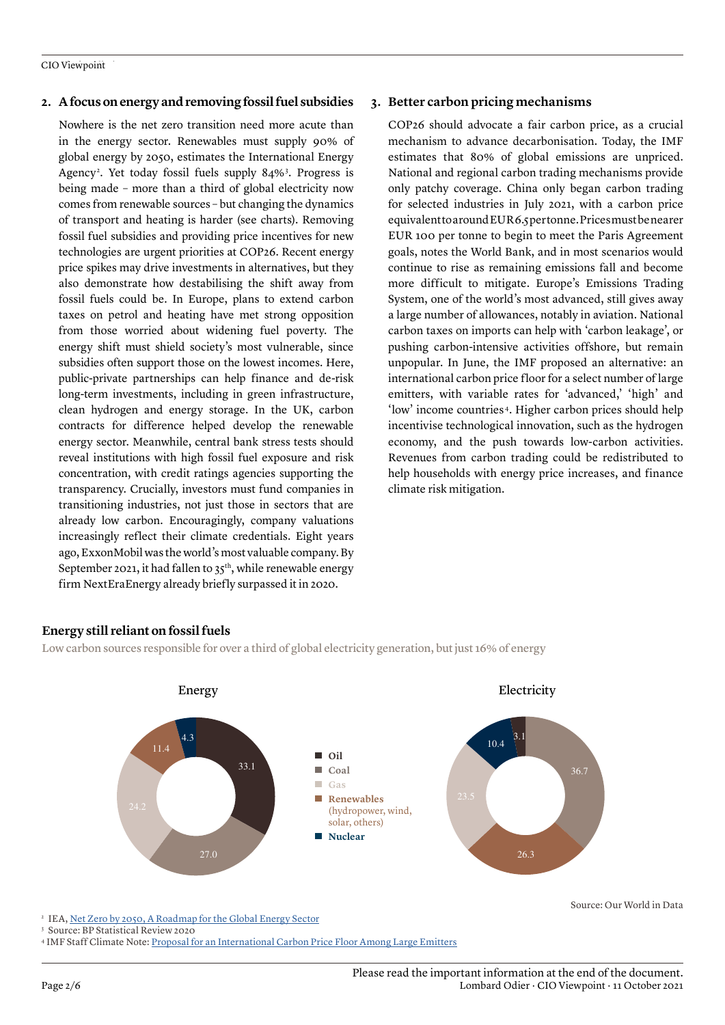## **2. A focus on energy and removing fossil fuel subsidies**

Nowhere is the net zero transition need more acute than in the energy sector. Renewables must supply 90% of global energy by 2050, estimates the International Energy Agency<sup>2</sup>. Yet today fossil fuels supply 84%<sup>3</sup>. Progress is being made – more than a third of global electricity now comes from renewable sources – but changing the dynamics of transport and heating is harder (see charts). Removing fossil fuel subsidies and providing price incentives for new technologies are urgent priorities at COP26. Recent energy price spikes may drive investments in alternatives, but they also demonstrate how destabilising the shift away from fossil fuels could be. In Europe, plans to extend carbon taxes on petrol and heating have met strong opposition from those worried about widening fuel poverty. The energy shift must shield society's most vulnerable, since subsidies often support those on the lowest incomes. Here, public-private partnerships can help finance and de-risk long-term investments, including in green infrastructure, clean hydrogen and energy storage. In the UK, carbon contracts for difference helped develop the renewable energy sector. Meanwhile, central bank stress tests should reveal institutions with high fossil fuel exposure and risk concentration, with credit ratings agencies supporting the transparency. Crucially, investors must fund companies in transitioning industries, not just those in sectors that are already low carbon. Encouragingly, company valuations increasingly reflect their climate credentials. Eight years ago, ExxonMobil was the world's most valuable company. By September 2021, it had fallen to  $35<sup>th</sup>$ , while renewable energy firm NextEraEnergy already briefly surpassed it in 2020.

## **3. Better carbon pricing mechanisms**

COP26 should advocate a fair carbon price, as a crucial mechanism to advance decarbonisation. Today, the IMF estimates that 80% of global emissions are unpriced. National and regional carbon trading mechanisms provide only patchy coverage. China only began carbon trading for selected industries in July 2021, with a carbon price equivalent to around EUR 6.5 per tonne. Prices must be nearer EUR 100 per tonne to begin to meet the Paris Agreement goals, notes the World Bank, and in most scenarios would continue to rise as remaining emissions fall and become more difficult to mitigate. Europe's Emissions Trading System, one of the world's most advanced, still gives away a large number of allowances, notably in aviation. National carbon taxes on imports can help with 'carbon leakage', or pushing carbon-intensive activities offshore, but remain unpopular. In June, the IMF proposed an alternative: an international carbon price floor for a select number of large emitters, with variable rates for 'advanced,' 'high' and 'low' income countries<sup>4</sup>. Higher carbon prices should help incentivise technological innovation, such as the hydrogen economy, and the push towards low-carbon activities. Revenues from carbon trading could be redistributed to help households with energy price increases, and finance climate risk mitigation.

## **Energy still reliant on fossil fuels**

Low carbon sources responsible for over a third of global electricity generation, but just 16% of energy



<sup>2</sup> IEA, [Net Zero by 2050, A Roadmap for the Global Energy Sector](https://www.iea.org/reports/net-zero-by-2050)

<sup>3</sup> Source: BP Statistical Review 2020

4 IMF Staff Climate Note: [Proposal for an International Carbon Price Floor Among Large Emitters](https://www.imf.org/en/Publications/staff-climate-notes/Issues/2021/06/15/Proposal-for-an-International-Carbon-Price-Floor-Among-Large-Emitters-460468)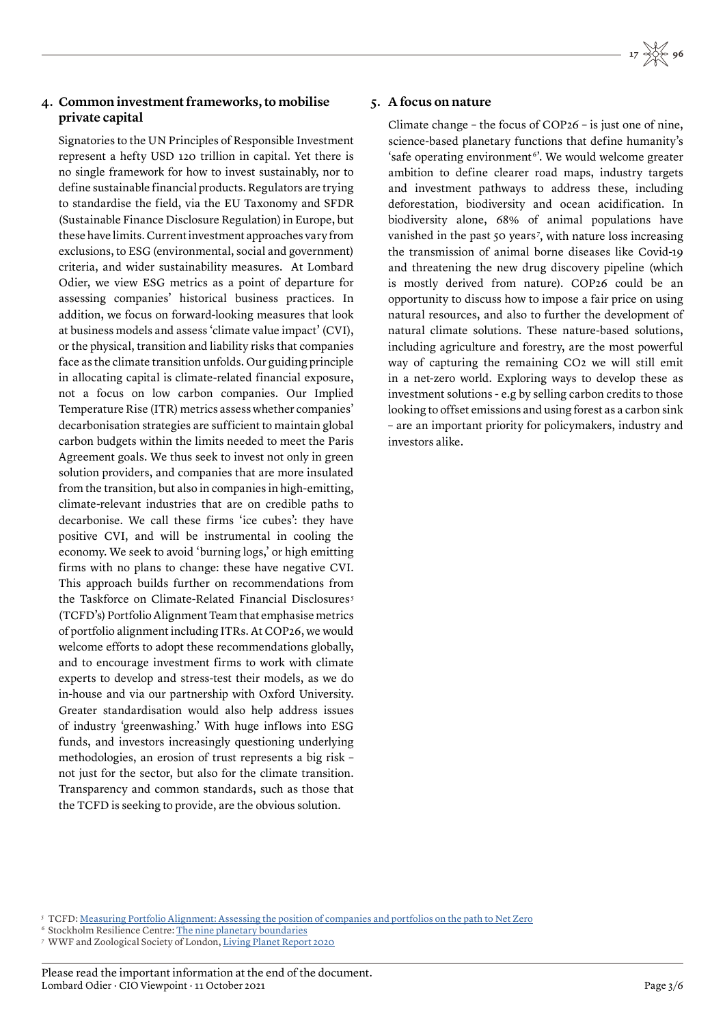## **4. Common investment frameworks, to mobilise private capital**

Signatories to the UN Principles of Responsible Investment represent a hefty USD 120 trillion in capital. Yet there is no single framework for how to invest sustainably, nor to define sustainable financial products. Regulators are trying to standardise the field, via the EU Taxonomy and SFDR (Sustainable Finance Disclosure Regulation) in Europe, but these have limits. Current investment approaches vary from exclusions, to ESG (environmental, social and government) criteria, and wider sustainability measures. At Lombard Odier, we view ESG metrics as a point of departure for assessing companies' historical business practices. In addition, we focus on forward-looking measures that look at business models and assess 'climate value impact' (CVI), or the physical, transition and liability risks that companies face as the climate transition unfolds. Our guiding principle in allocating capital is climate-related financial exposure, not a focus on low carbon companies. Our Implied Temperature Rise (ITR) metrics assess whether companies' decarbonisation strategies are sufficient to maintain global carbon budgets within the limits needed to meet the Paris Agreement goals. We thus seek to invest not only in green solution providers, and companies that are more insulated from the transition, but also in companies in high-emitting, climate-relevant industries that are on credible paths to decarbonise. We call these firms 'ice cubes': they have positive CVI, and will be instrumental in cooling the economy. We seek to avoid 'burning logs,' or high emitting firms with no plans to change: these have negative CVI. This approach builds further on recommendations from the Taskforce on Climate-Related Financial Disclosures<sup>5</sup> (TCFD's) Portfolio Alignment Team that emphasise metrics of portfolio alignment including ITRs. At COP26, we would welcome efforts to adopt these recommendations globally, and to encourage investment firms to work with climate experts to develop and stress-test their models, as we do in-house and via our partnership with Oxford University. Greater standardisation would also help address issues of industry 'greenwashing.' With huge inflows into ESG funds, and investors increasingly questioning underlying methodologies, an erosion of trust represents a big risk – not just for the sector, but also for the climate transition. Transparency and common standards, such as those that the TCFD is seeking to provide, are the obvious solution.

## **5. A focus on nature**

Climate change – the focus of COP26 – is just one of nine, science-based planetary functions that define humanity's 'safe operating environment 6'. We would welcome greater ambition to define clearer road maps, industry targets and investment pathways to address these, including deforestation, biodiversity and ocean acidification. In biodiversity alone, 68% of animal populations have vanished in the past 50 years<sup>7</sup>, with nature loss increasing the transmission of animal borne diseases like Covid-19 and threatening the new drug discovery pipeline (which is mostly derived from nature). COP26 could be an opportunity to discuss how to impose a fair price on using natural resources, and also to further the development of natural climate solutions. These nature-based solutions, including agriculture and forestry, are the most powerful way of capturing the remaining CO2 we will still emit in a net-zero world. Exploring ways to develop these as investment solutions - e.g by selling carbon credits to those looking to offset emissions and using forest as a carbon sink – are an important priority for policymakers, industry and investors alike.

<sup>6</sup> Stockholm Resilience Centre: [The nine planetary boundaries](https://www.stockholmresilience.org/research/planetary-boundaries/the-nine-planetary-boundaries.html)

<sup>5</sup> TCFD: [Measuring Portfolio Alignment: Assessing the position of companies and portfolios on the path to Net Zero](https://www.tcfdhub.org/resource/measuring-portfolio-alignment-assessing-the-position-of-companies-and-portfolios-on-the-path-to-net-zero/)

<sup>7</sup> WWF and Zoological Society of London, [Living Planet Report 2020](https://www.zsl.org/sites/default/files/LPR 2020 Full report.pdf)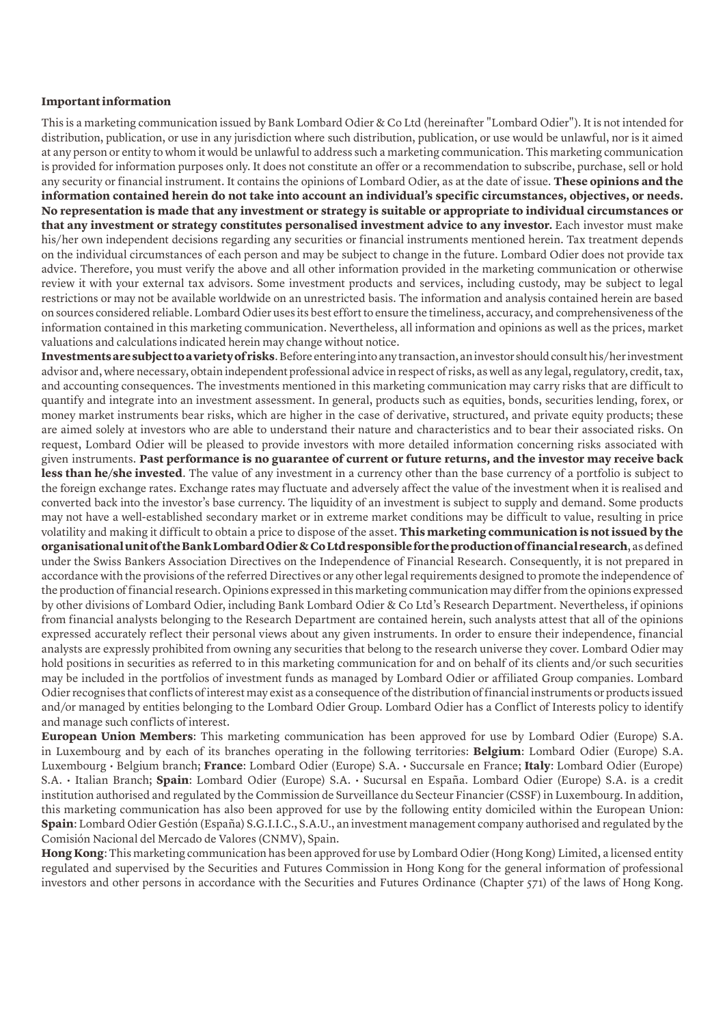### **Important information**

This is a marketing communication issued by Bank Lombard Odier & Co Ltd (hereinafter "Lombard Odier"). It is not intended for distribution, publication, or use in any jurisdiction where such distribution, publication, or use would be unlawful, nor is it aimed at any person or entity to whom it would be unlawful to address such a marketing communication. This marketing communication is provided for information purposes only. It does not constitute an offer or a recommendation to subscribe, purchase, sell or hold any security or financial instrument. It contains the opinions of Lombard Odier, as at the date of issue. **These opinions and the information contained herein do not take into account an individual's specific circumstances, objectives, or needs. No representation is made that any investment or strategy is suitable or appropriate to individual circumstances or that any investment or strategy constitutes personalised investment advice to any investor.** Each investor must make his/her own independent decisions regarding any securities or financial instruments mentioned herein. Tax treatment depends on the individual circumstances of each person and may be subject to change in the future. Lombard Odier does not provide tax advice. Therefore, you must verify the above and all other information provided in the marketing communication or otherwise review it with your external tax advisors. Some investment products and services, including custody, may be subject to legal restrictions or may not be available worldwide on an unrestricted basis. The information and analysis contained herein are based on sources considered reliable. Lombard Odier uses its best effort to ensure the timeliness, accuracy, and comprehensiveness of the information contained in this marketing communication. Nevertheless, all information and opinions as well as the prices, market valuations and calculations indicated herein may change without notice.

**Investments are subject to a variety of risks**. Before entering into any transaction, an investor should consult his/her investment advisor and, where necessary, obtain independent professional advice in respect of risks, as well as any legal, regulatory, credit, tax, and accounting consequences. The investments mentioned in this marketing communication may carry risks that are difficult to quantify and integrate into an investment assessment. In general, products such as equities, bonds, securities lending, forex, or money market instruments bear risks, which are higher in the case of derivative, structured, and private equity products; these are aimed solely at investors who are able to understand their nature and characteristics and to bear their associated risks. On request, Lombard Odier will be pleased to provide investors with more detailed information concerning risks associated with given instruments. **Past performance is no guarantee of current or future returns, and the investor may receive back less than he/she invested**. The value of any investment in a currency other than the base currency of a portfolio is subject to the foreign exchange rates. Exchange rates may fluctuate and adversely affect the value of the investment when it is realised and converted back into the investor's base currency. The liquidity of an investment is subject to supply and demand. Some products may not have a well-established secondary market or in extreme market conditions may be difficult to value, resulting in price volatility and making it difficult to obtain a price to dispose of the asset. **This marketing communication is not issued by the organisational unit of the Bank Lombard Odier & Co Ltd responsible for the production of financial research**, as defined under the Swiss Bankers Association Directives on the Independence of Financial Research. Consequently, it is not prepared in accordance with the provisions of the referred Directives or any other legal requirements designed to promote the independence of the production of financial research. Opinions expressed in this marketing communication may differ from the opinions expressed by other divisions of Lombard Odier, including Bank Lombard Odier & Co Ltd's Research Department. Nevertheless, if opinions from financial analysts belonging to the Research Department are contained herein, such analysts attest that all of the opinions expressed accurately reflect their personal views about any given instruments. In order to ensure their independence, financial analysts are expressly prohibited from owning any securities that belong to the research universe they cover. Lombard Odier may hold positions in securities as referred to in this marketing communication for and on behalf of its clients and/or such securities may be included in the portfolios of investment funds as managed by Lombard Odier or affiliated Group companies. Lombard Odier recognises that conflicts of interest may exist as a consequence of the distribution of financial instruments or products issued and/or managed by entities belonging to the Lombard Odier Group. Lombard Odier has a Conflict of Interests policy to identify and manage such conflicts of interest.

**European Union Members**: This marketing communication has been approved for use by Lombard Odier (Europe) S.A. in Luxembourg and by each of its branches operating in the following territories: **Belgium**: Lombard Odier (Europe) S.A. Luxembourg • Belgium branch; **France**: Lombard Odier (Europe) S.A. • Succursale en France; **Italy**: Lombard Odier (Europe) S.A. • Italian Branch; **Spain**: Lombard Odier (Europe) S.A. • Sucursal en España. Lombard Odier (Europe) S.A. is a credit institution authorised and regulated by the Commission de Surveillance du Secteur Financier (CSSF) in Luxembourg. In addition, this marketing communication has also been approved for use by the following entity domiciled within the European Union: **Spain**: Lombard Odier Gestión (España) S.G.I.I.C., S.A.U., an investment management company authorised and regulated by the Comisión Nacional del Mercado de Valores (CNMV), Spain.

**Hong Kong**: This marketing communication has been approved for use by Lombard Odier (Hong Kong) Limited, a licensed entity regulated and supervised by the Securities and Futures Commission in Hong Kong for the general information of professional investors and other persons in accordance with the Securities and Futures Ordinance (Chapter 571) of the laws of Hong Kong.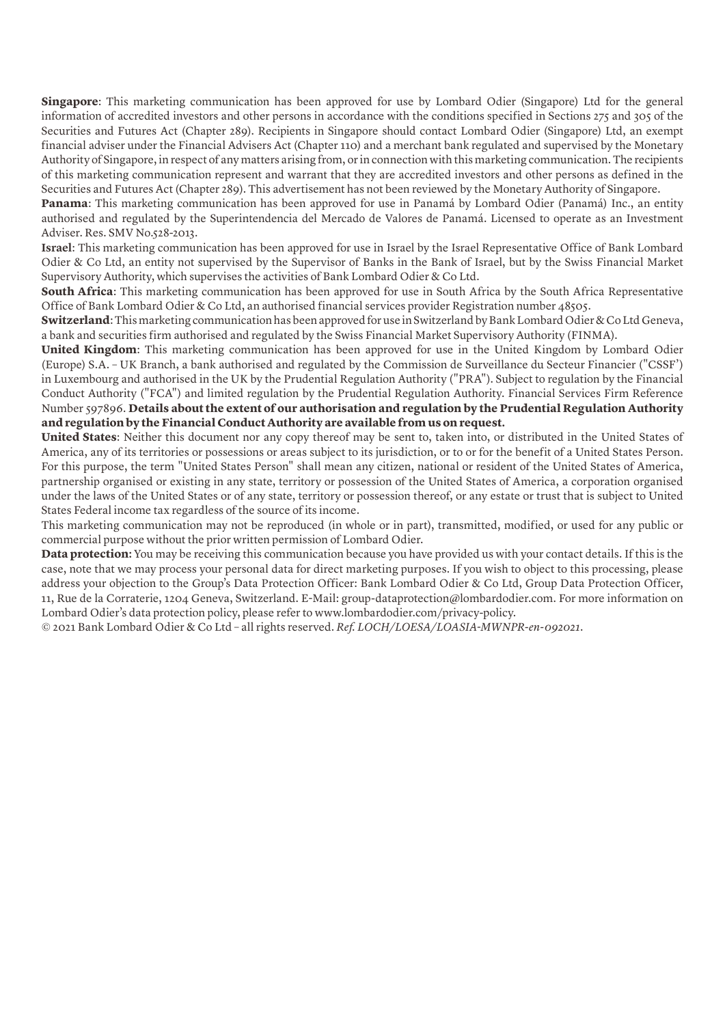**Singapore**: This marketing communication has been approved for use by Lombard Odier (Singapore) Ltd for the general information of accredited investors and other persons in accordance with the conditions specified in Sections 275 and 305 of the Securities and Futures Act (Chapter 289). Recipients in Singapore should contact Lombard Odier (Singapore) Ltd, an exempt financial adviser under the Financial Advisers Act (Chapter 110) and a merchant bank regulated and supervised by the Monetary Authority of Singapore, in respect of any matters arising from, or in connection with this marketing communication. The recipients of this marketing communication represent and warrant that they are accredited investors and other persons as defined in the Securities and Futures Act (Chapter 289). This advertisement has not been reviewed by the Monetary Authority of Singapore.

**Panama**: This marketing communication has been approved for use in Panamá by Lombard Odier (Panamá) Inc., an entity authorised and regulated by the Superintendencia del Mercado de Valores de Panamá. Licensed to operate as an Investment Adviser. Res. SMV No.528-2013.

**Israel**: This marketing communication has been approved for use in Israel by the Israel Representative Office of Bank Lombard Odier & Co Ltd, an entity not supervised by the Supervisor of Banks in the Bank of Israel, but by the Swiss Financial Market Supervisory Authority, which supervises the activities of Bank Lombard Odier & Co Ltd.

**South Africa**: This marketing communication has been approved for use in South Africa by the South Africa Representative Office of Bank Lombard Odier & Co Ltd, an authorised financial services provider Registration number 48505.

**Switzerland**: This marketing communication has been approved for use in Switzerland by Bank Lombard Odier & Co Ltd Geneva, a bank and securities firm authorised and regulated by the Swiss Financial Market Supervisory Authority (FINMA).

**United Kingdom**: This marketing communication has been approved for use in the United Kingdom by Lombard Odier (Europe) S.A. – UK Branch, a bank authorised and regulated by the Commission de Surveillance du Secteur Financier ("CSSF') in Luxembourg and authorised in the UK by the Prudential Regulation Authority ("PRA"). Subject to regulation by the Financial Conduct Authority ("FCA") and limited regulation by the Prudential Regulation Authority. Financial Services Firm Reference Number 597896. **Details about the extent of our authorisation and regulation by the Prudential Regulation Authority and regulation by the Financial Conduct Authority are available from us on request.**

**United States**: Neither this document nor any copy thereof may be sent to, taken into, or distributed in the United States of America, any of its territories or possessions or areas subject to its jurisdiction, or to or for the benefit of a United States Person. For this purpose, the term "United States Person" shall mean any citizen, national or resident of the United States of America, partnership organised or existing in any state, territory or possession of the United States of America, a corporation organised under the laws of the United States or of any state, territory or possession thereof, or any estate or trust that is subject to United States Federal income tax regardless of the source of its income.

This marketing communication may not be reproduced (in whole or in part), transmitted, modified, or used for any public or commercial purpose without the prior written permission of Lombard Odier.

**Data protection:** You may be receiving this communication because you have provided us with your contact details. If this is the case, note that we may process your personal data for direct marketing purposes. If you wish to object to this processing, please address your objection to the Group's Data Protection Officer: Bank Lombard Odier & Co Ltd, Group Data Protection Officer, 11, Rue de la Corraterie, 1204 Geneva, Switzerland. E-Mail: group-dataprotection@lombardodier.com. For more information on Lombard Odier's data protection policy, please refer to www.lombardodier.com/privacy-policy.

© 2021 Bank Lombard Odier & Co Ltd – all rights reserved. *Ref. LOCH/LOESA/LOASIA-MWNPR-en-092021*.